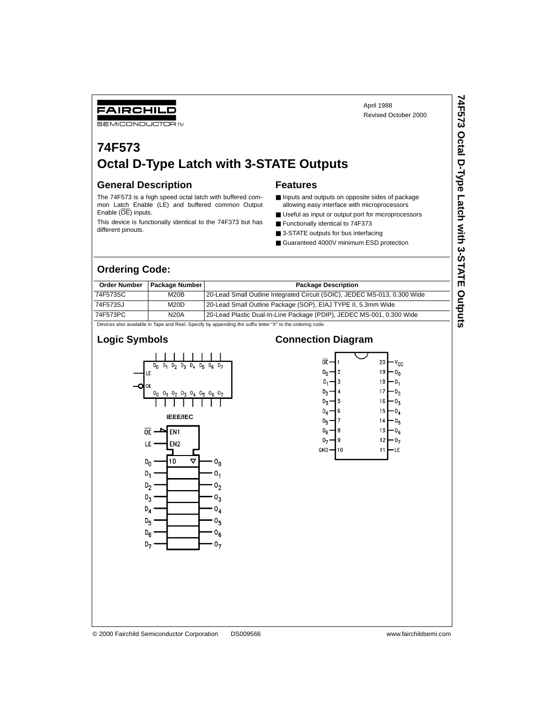**74F573 Octal D-Type Latch with 3-STATE Outputs**

74F573 Octal D-Type Latch with 3-STATE Outputs

#### FAIRCHILD **SEMICONDUCTOR TM**

# **74F573 Octal D-Type Latch with 3-STATE Outputs**

#### **General Description**

The 74F573 is a high speed octal latch with buffered common Latch Enable (LE) and buffered common Output Enable (OE) inputs.

This device is functionally identical to the 74F373 but has different pinouts.

#### **Features**

- Inputs and outputs on opposite sides of package allowing easy interface with microprocessors
- Useful as input or output port for microprocessors
- Functionally identical to 74F373
- 3-STATE outputs for bus interfacing
- Guaranteed 4000V minimum ESD protection

### **Ordering Code:**

| <b>Order Number</b>                                                                                       | <b>Package Number</b> | <b>Package Description</b>                                                |  |  |  |  |
|-----------------------------------------------------------------------------------------------------------|-----------------------|---------------------------------------------------------------------------|--|--|--|--|
| 74F573SC                                                                                                  | M20B                  | 20-Lead Small Outline Integrated Circuit (SOIC), JEDEC MS-013, 0.300 Wide |  |  |  |  |
| 74F573SJ                                                                                                  | M20D                  | 20-Lead Small Outline Package (SOP), EIAJ TYPE II, 5.3mm Wide             |  |  |  |  |
| 74F573PC                                                                                                  | <b>N20A</b>           | 20-Lead Plastic Dual-In-Line Package (PDIP), JEDEC MS-001, 0.300 Wide     |  |  |  |  |
| Devices also available in Tape and Reel. Specify by appending the suffix letter "X" to the ordering code. |                       |                                                                           |  |  |  |  |

#### **Logic Symbols**



#### **Connection Diagram**

| ᅂ              |    | 20 | ۷ <sub>CC</sub> |
|----------------|----|----|-----------------|
| D <sub>n</sub> | 2  | 19 |                 |
| D,             | 3  | 18 |                 |
| D,             | 4  | 17 |                 |
| Dχ             | 5  | 16 | Jτ              |
| D <sub>4</sub> | 6  | 15 |                 |
| Dς             | 7  | 14 |                 |
| D <sub>6</sub> | 8  | 13 |                 |
|                | 9  | 12 |                 |
| <b>GND</b>     | 10 | 1  | Е               |
|                |    |    |                 |
|                |    |    |                 |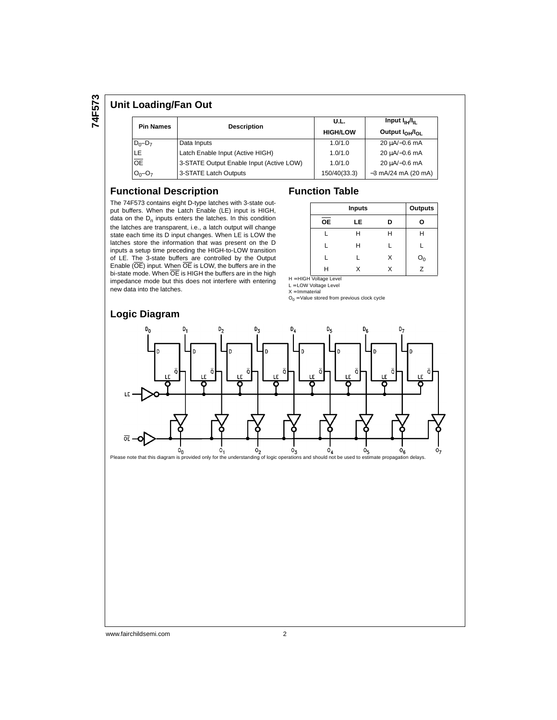**74F573**

#### **Unit Loading/Fan Out**

| <b>Pin Names</b> | <b>Description</b>                       | U.L.<br><b>HIGH/LOW</b> | Input $I_{\rm IH}/I_{\rm H}$<br>Output I <sub>OH</sub> /I <sub>OI</sub> |  |
|------------------|------------------------------------------|-------------------------|-------------------------------------------------------------------------|--|
| $D_0 - D_7$      | Data Inputs                              | 1.0/1.0                 | 20 uA/-0.6 mA                                                           |  |
| LE.              | Latch Enable Input (Active HIGH)         | 1.0/1.0                 | 20 µA/-0.6 mA                                                           |  |
| $\overline{OE}$  | 3-STATE Output Enable Input (Active LOW) | 1.0/1.0                 | 20 µA/-0.6 mA                                                           |  |
| $O_0 - O_7$      | 3-STATE Latch Outputs                    | 150/40(33.3)            | $-3$ mA/24 mA (20 mA)                                                   |  |

#### **Functional Description**

The 74F573 contains eight D-type latches with 3-state output buffers. When the Latch Enable (LE) input is HIGH, data on the  $D_n$  inputs enters the latches. In this condition the latches are transparent, i.e., a latch output will change state each time its D input changes. When LE is LOW the latches store the information that was present on the D inputs a setup time preceding the HIGH-to-LOW transition of LE. The 3-state buffers are controlled by the Output Enable (OE) input. When OE is LOW, the buffers are in the bi-state mode. When OE is HIGH the buffers are in the high impedance mode but this does not interfere with entering new data into the latches.

#### **Logic Diagram**

#### **Function Table**

|           | <b>Outputs</b> |   |              |
|-----------|----------------|---|--------------|
| <b>OE</b> | LE             | D | О            |
|           | Н              | н | н            |
|           | н              |   |              |
|           |                | x | $O_0$<br>$Z$ |
|           |                |   |              |

H = HIGH Voltage Level

L = LOW Voltage Level X = Immaterial

 $O<sub>0</sub>$  = Value stored from previous clock cycle



www.fairchildsemi.com 2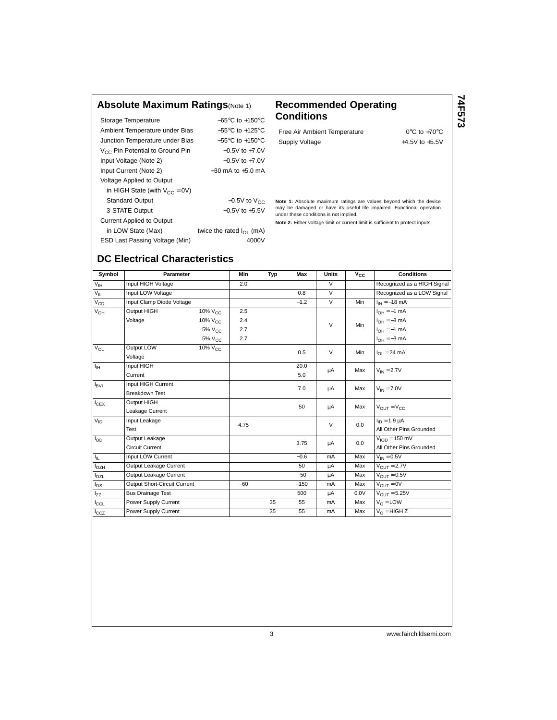### **Absolute Maximum Ratings**(Note 1) **Recommended Operating**

| Storage Temperature                         | $-65^{\circ}$ C to $+150^{\circ}$ C |
|---------------------------------------------|-------------------------------------|
| Ambient Temperature under Bias              | $-55^{\circ}$ C to $+125^{\circ}$ C |
| Junction Temperature under Bias             | $-55^{\circ}$ C to $+150^{\circ}$ C |
| V <sub>CC</sub> Pin Potential to Ground Pin | $-0.5V$ to $+7.0V$                  |
| Input Voltage (Note 2)                      | $-0.5V$ to $+7.0V$                  |
| Input Current (Note 2)                      | $-30$ mA to $+5.0$ mA               |
| <b>Voltage Applied to Output</b>            |                                     |
| in HIGH State (with $V_{CC} = 0V$ )         |                                     |
| <b>Standard Output</b>                      | $-0.5V$ to $V_{CC}$                 |
| 3-STATE Output                              | $-0.5V$ to $+5.5V$                  |
| <b>Current Applied to Output</b>            |                                     |
| in LOW State (Max)                          | twice the rated $I_{\Omega}$ (mA)   |
| ESD Last Passing Voltage (Min)              | 4000V                               |

# **Conditions**

Free Air Ambient Temperature 0°C to +70°C Supply Voltage  $+4.5V$  to  $+5.5V$  **74F573**

**Note 1:** Absolute maximum ratings are values beyond which the device may be damaged or have its useful life impaired. Functional operation under these conditions is not implied.

**Note 2:** Either voltage limit or current limit is sufficient to protect inputs.

## **DC Electrical Characteristics**

| Symbol           | Parameter                    |                                  | Min   | Typ | Max    | <b>Units</b>   | $V_{\rm CC}$ | <b>Conditions</b>                  |
|------------------|------------------------------|----------------------------------|-------|-----|--------|----------------|--------------|------------------------------------|
| $V_{IH}$         | Input HIGH Voltage           |                                  | 2.0   |     |        | $\vee$         |              | Recognized as a HIGH Signal        |
| $V_{IL}$         | Input LOW Voltage            |                                  |       |     | 0.8    | $\overline{V}$ |              | Recognized as a LOW Signal         |
| $V_{CD}$         | Input Clamp Diode Voltage    |                                  |       |     | $-1.2$ | $\overline{V}$ | Min          | $I_{IN} = -18$ mA                  |
| $V_{OH}$         | Output HIGH                  | $10\%$ $V_{C}$                   | 2.5   |     |        |                |              | $I_{OH} = -1$ mA                   |
|                  | Voltage                      | 10% V <sub>CC</sub>              | 2.4   |     |        | $\vee$         | Min          | $I_{OH} = -3$ mA                   |
|                  |                              | $5\%$ V <sub>CC</sub>            | 2.7   |     |        |                |              | $I_{OH} = -1$ mA                   |
|                  |                              | 5% V <sub>CC</sub>               | 2.7   |     |        |                |              | $I_{OH} = -3$ mA                   |
| $V_{OL}$         | Output LOW                   | $\frac{1}{10\%}$ V <sub>CC</sub> |       |     | 0.5    | $\vee$         | Min          | $I_{\Omega I}$ = 24 mA             |
|                  | Voltage                      |                                  |       |     |        |                |              |                                    |
| ŀн               | Input HIGH                   |                                  |       |     | 20.0   | μA             | Max          | $V_{IN} = 2.7V$                    |
|                  | Current                      |                                  |       |     | 5.0    |                |              |                                    |
| $I_{\text{BVI}}$ | Input HIGH Current           |                                  |       |     | 7.0    | μA             | Max          | $V_{IN} = 7.0V$                    |
|                  | <b>Breakdown Test</b>        |                                  |       |     |        |                |              |                                    |
| $I_{CEX}$        | <b>Output HIGH</b>           |                                  |       |     | 50     | μA             | Max          | $V_{OUT} = V_{CC}$                 |
|                  | Leakage Current              |                                  |       |     |        |                |              |                                    |
| $V_{ID}$         | Input Leakage                |                                  | 4.75  |     |        | $\vee$         | 0.0          | $I_{ID} = 1.9 \mu A$               |
|                  | Test                         |                                  |       |     |        |                |              | All Other Pins Grounded            |
| $I_{OD}$         | Output Leakage               |                                  |       |     | 3.75   | μA             | 0.0          | $VION = 150 mV$                    |
|                  | <b>Circuit Current</b>       |                                  |       |     |        |                |              | All Other Pins Grounded            |
| ΙL.              | Input LOW Current            |                                  |       |     | $-0.6$ | mA             | Max          | $V_{IN} = 0.5V$                    |
| $I_{OZH}$        | Output Leakage Current       |                                  |       |     | 50     | μA             | Max          | $V_{\text{OUT}} = 2.7\overline{V}$ |
| $I_{OZL}$        | Output Leakage Current       |                                  |       |     | $-50$  | μA             | Max          | $V_{OIII} = 0.5V$                  |
| $\log$           | Output Short-Circuit Current |                                  | $-60$ |     | $-150$ | mA             | Max          | $V_{OUT} = 0V$                     |
| l <sub>ZZ</sub>  | <b>Bus Drainage Test</b>     |                                  |       |     | 500    | μA             | 0.0V         | $V_{OUT} = 5.25V$                  |
| $I_{CCL}$        | Power Supply Current         |                                  |       | 35  | 55     | mA             | Max          | $V_{\Omega}$ = LOW                 |
| lccz             | Power Supply Current         |                                  |       | 35  | 55     | mA             | Max          | $V_{\Omega}$ = HIGH Z              |